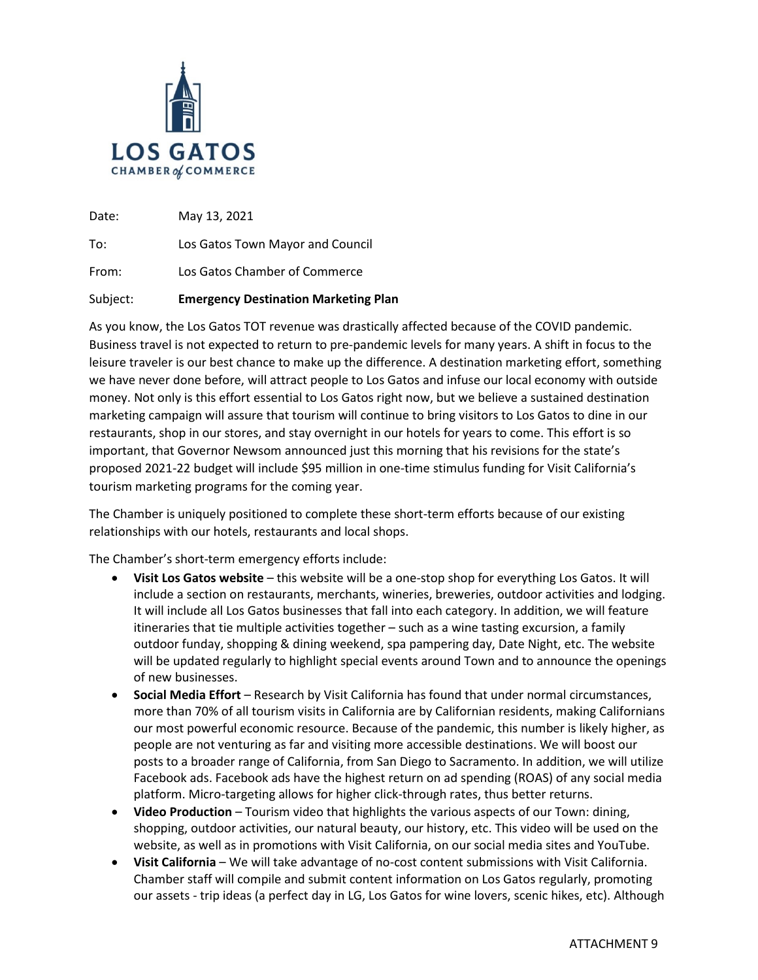

Date: May 13, 2021

To: Los Gatos Town Mayor and Council

From: Los Gatos Chamber of Commerce

## Subject: **Emergency Destination Marketing Plan**

As you know, the Los Gatos TOT revenue was drastically affected because of the COVID pandemic. Business travel is not expected to return to pre-pandemic levels for many years. A shift in focus to the leisure traveler is our best chance to make up the difference. A destination marketing effort, something we have never done before, will attract people to Los Gatos and infuse our local economy with outside money. Not only is this effort essential to Los Gatos right now, but we believe a sustained destination marketing campaign will assure that tourism will continue to bring visitors to Los Gatos to dine in our restaurants, shop in our stores, and stay overnight in our hotels for years to come. This effort is so important, that Governor Newsom announced just this morning that his revisions for the state's proposed 2021-22 budget will include \$95 million in one-time stimulus funding for Visit California's tourism marketing programs for the coming year.

The Chamber is uniquely positioned to complete these short-term efforts because of our existing relationships with our hotels, restaurants and local shops.

The Chamber's short-term emergency efforts include:

- **Visit Los Gatos website** this website will be a one-stop shop for everything Los Gatos. It will include a section on restaurants, merchants, wineries, breweries, outdoor activities and lodging. It will include all Los Gatos businesses that fall into each category. In addition, we will feature itineraries that tie multiple activities together – such as a wine tasting excursion, a family outdoor funday, shopping & dining weekend, spa pampering day, Date Night, etc. The website will be updated regularly to highlight special events around Town and to announce the openings of new businesses.
- **Social Media Effort** Research by Visit California has found that under normal circumstances, more than 70% of all tourism visits in California are by Californian residents, making Californians our most powerful economic resource. Because of the pandemic, this number is likely higher, as people are not venturing as far and visiting more accessible destinations. We will boost our posts to a broader range of California, from San Diego to Sacramento. In addition, we will utilize Facebook ads. Facebook ads have the highest return on ad spending (ROAS) of any social media platform. Micro-targeting allows for higher click-through rates, thus better returns.
- **Video Production** Tourism video that highlights the various aspects of our Town: dining, shopping, outdoor activities, our natural beauty, our history, etc. This video will be used on the website, as well as in promotions with Visit California, on our social media sites and YouTube.
- **Visit California** We will take advantage of no-cost content submissions with Visit California. Chamber staff will compile and submit content information on Los Gatos regularly, promoting our assets - trip ideas (a perfect day in LG, Los Gatos for wine lovers, scenic hikes, etc). Although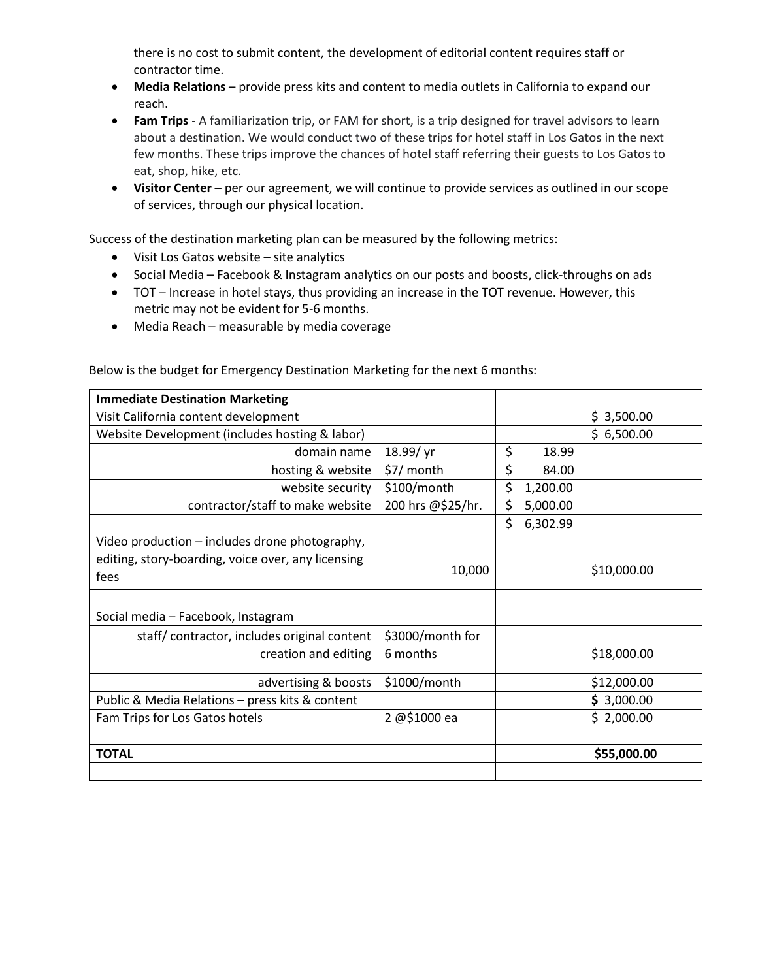there is no cost to submit content, the development of editorial content requires staff or contractor time.

- **Media Relations** provide press kits and content to media outlets in California to expand our reach.
- **Fam Trips** A familiarization trip, or FAM for short, is a trip designed for travel advisors to learn about a destination. We would conduct two of these trips for hotel staff in Los Gatos in the next few months. These trips improve the chances of hotel staff referring their guests to Los Gatos to eat, shop, hike, etc.
- **Visitor Center**  per our agreement, we will continue to provide services as outlined in our scope of services, through our physical location.

Success of the destination marketing plan can be measured by the following metrics:

- Visit Los Gatos website site analytics
- Social Media Facebook & Instagram analytics on our posts and boosts, click-throughs on ads
- TOT Increase in hotel stays, thus providing an increase in the TOT revenue. However, this metric may not be evident for 5-6 months.
- Media Reach measurable by media coverage

Below is the budget for Emergency Destination Marketing for the next 6 months:

| <b>Immediate Destination Marketing</b>             |                   |                |             |
|----------------------------------------------------|-------------------|----------------|-------------|
| Visit California content development               |                   |                | \$3,500.00  |
| Website Development (includes hosting & labor)     |                   |                | \$6,500.00  |
| domain name                                        | 18.99/yr          | \$<br>18.99    |             |
| hosting & website                                  | \$7/ month        | \$<br>84.00    |             |
| website security                                   | \$100/month       | \$<br>1,200.00 |             |
| contractor/staff to make website                   | 200 hrs @\$25/hr. | \$<br>5,000.00 |             |
|                                                    |                   | \$<br>6,302.99 |             |
| Video production – includes drone photography,     |                   |                |             |
| editing, story-boarding, voice over, any licensing |                   |                |             |
| fees                                               | 10,000            |                | \$10,000.00 |
|                                                    |                   |                |             |
| Social media - Facebook, Instagram                 |                   |                |             |
| staff/contractor, includes original content        | \$3000/month for  |                |             |
| creation and editing                               | 6 months          |                | \$18,000.00 |
| advertising & boosts                               | \$1000/month      |                | \$12,000.00 |
| Public & Media Relations - press kits & content    |                   |                | \$3,000.00  |
| Fam Trips for Los Gatos hotels                     | 2 @\$1000 ea      |                | \$2,000.00  |
|                                                    |                   |                |             |
| <b>TOTAL</b>                                       |                   |                | \$55,000.00 |
|                                                    |                   |                |             |